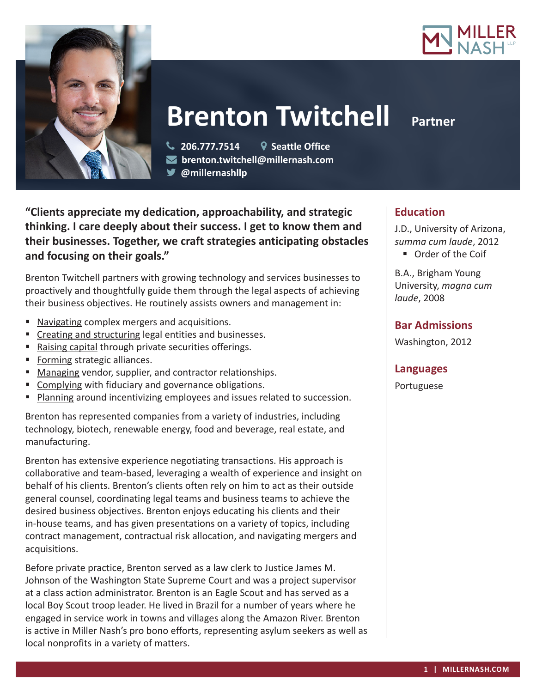



# **Brenton Twitchell Partner**

 **206.777.7514 Seattle Office brenton.twitchell@millernash.com** 

**@millernashllp** 

**"Clients appreciate my dedication, approachability, and strategic thinking. I care deeply about their success. I get to know them and their businesses. Together, we craft strategies anticipating obstacles and focusing on their goals."**

Brenton Twitchell partners with growing technology and services businesses to proactively and thoughtfully guide them through the legal aspects of achieving their business objectives. He routinely assists owners and management in:

- Navigating complex mergers and acquisitions.
- Creating and structuring legal entities and businesses.
- Raising capital through private securities offerings.
- Forming strategic alliances.
- **Managing vendor, supplier, and contractor relationships.**
- **EX Complying with fiduciary and governance obligations.**
- **Planning around incentivizing employees and issues related to succession.**

Brenton has represented companies from a variety of industries, including technology, biotech, renewable energy, food and beverage, real estate, and manufacturing.

Brenton has extensive experience negotiating transactions. His approach is collaborative and team-based, leveraging a wealth of experience and insight on behalf of his clients. Brenton's clients often rely on him to act as their outside general counsel, coordinating legal teams and business teams to achieve the desired business objectives. Brenton enjoys educating his clients and their in-house teams, and has given presentations on a variety of topics, including contract management, contractual risk allocation, and navigating mergers and acquisitions.

Before private practice, Brenton served as a law clerk to Justice James M. Johnson of the Washington State Supreme Court and was a project supervisor at a class action administrator. Brenton is an Eagle Scout and has served as a local Boy Scout troop leader. He lived in Brazil for a number of years where he engaged in service work in towns and villages along the Amazon River. Brenton is active in Miller Nash's pro bono efforts, representing asylum seekers as well as local nonprofits in a variety of matters.

## **Education**

J.D., University of Arizona, *summa cum laude*, 2012 ■ Order of the Coif

B.A., Brigham Young University, *magna cum laude*, 2008

## **Bar Admissions**

Washington, 2012

## **Languages**

Portuguese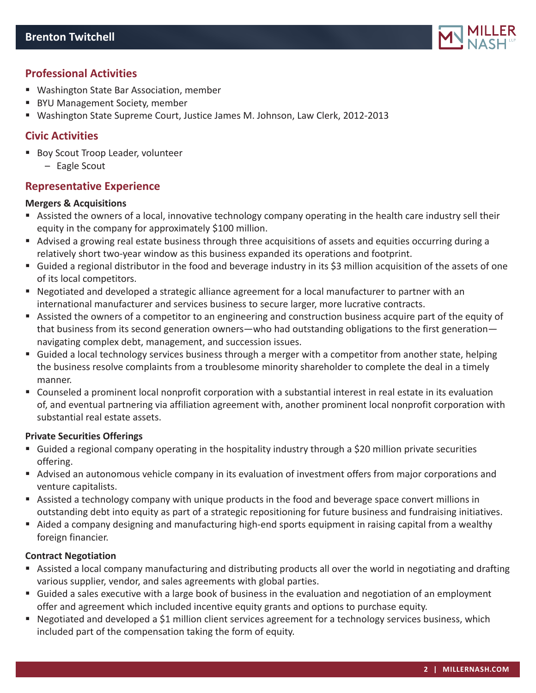

# **Professional Activities**

- Washington State Bar Association, member
- BYU Management Society, member
- Washington State Supreme Court, Justice James M. Johnson, Law Clerk, 2012-2013

## **Civic Activities**

- **Boy Scout Troop Leader, volunteer** 
	- Eagle Scout

## **Representative Experience**

#### **Mergers & Acquisitions**

- Assisted the owners of a local, innovative technology company operating in the health care industry sell their equity in the company for approximately \$100 million.
- Advised a growing real estate business through three acquisitions of assets and equities occurring during a relatively short two-year window as this business expanded its operations and footprint.
- Guided a regional distributor in the food and beverage industry in its \$3 million acquisition of the assets of one of its local competitors.
- Negotiated and developed a strategic alliance agreement for a local manufacturer to partner with an international manufacturer and services business to secure larger, more lucrative contracts.
- Assisted the owners of a competitor to an engineering and construction business acquire part of the equity of that business from its second generation owners—who had outstanding obligations to the first generation navigating complex debt, management, and succession issues.
- Guided a local technology services business through a merger with a competitor from another state, helping the business resolve complaints from a troublesome minority shareholder to complete the deal in a timely manner.
- Counseled a prominent local nonprofit corporation with a substantial interest in real estate in its evaluation of, and eventual partnering via affiliation agreement with, another prominent local nonprofit corporation with substantial real estate assets.

#### **Private Securities Offerings**

- Guided a regional company operating in the hospitality industry through a \$20 million private securities offering.
- Advised an autonomous vehicle company in its evaluation of investment offers from major corporations and venture capitalists.
- Assisted a technology company with unique products in the food and beverage space convert millions in outstanding debt into equity as part of a strategic repositioning for future business and fundraising initiatives.
- Aided a company designing and manufacturing high-end sports equipment in raising capital from a wealthy foreign financier.

#### **Contract Negotiation**

- Assisted a local company manufacturing and distributing products all over the world in negotiating and drafting various supplier, vendor, and sales agreements with global parties.
- Guided a sales executive with a large book of business in the evaluation and negotiation of an employment offer and agreement which included incentive equity grants and options to purchase equity.
- Negotiated and developed a \$1 million client services agreement for a technology services business, which included part of the compensation taking the form of equity.